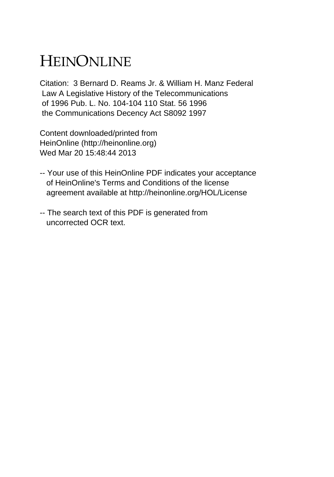# HEINONLINE

Citation: 3 Bernard D. Reams Jr. & William H. Manz Federal Law A Legislative History of the Telecommunications of 1996 Pub. L. No. 104-104 110 Stat. 56 1996 the Communications Decency Act S8092 1997

Content downloaded/printed from HeinOnline (http://heinonline.org) Wed Mar 20 15:48:44 2013

- -- Your use of this HeinOnline PDF indicates your acceptance of HeinOnline's Terms and Conditions of the license agreement available at http://heinonline.org/HOL/License
- -- The search text of this PDF is generated from uncorrected OCR text.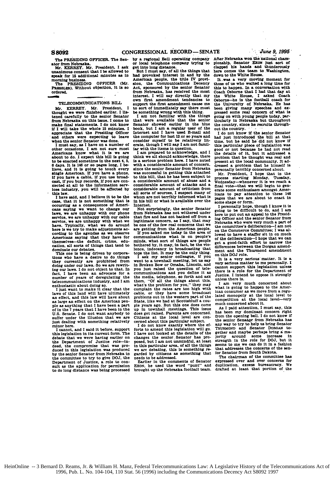**The PRESIDING OFFICER. The Sen-**

ator from Nebraska. Mr. KERREY. Mr. President, **I ask** unanimous consent that **I** be allowed to **speak** for **15** additional minutes **as In** morning business.<br>The PRESIDING OFFICER (Mr.

The PRESIDING OFFICER (Mr. PRESSLER). Without objection, it **Is so** ordered.

### **TELECOMMUNICATIONS** BILL

Mr. KERREY. Mr. President, I thought we were finished earlier. **I Us-**tened carefully to the senior Senator from Nebraska on this issue. **I** come to make final statements. **I** do not know if **I** will take the whole **15** minutes. I appreciate that the Presiding Officer and others were expecting to leave when the senior Senator was done. I must say, as I have on a number of

other occasions. **I** am not sure most Americans know what It is we are about to do. **I** expect this **bill is** going to be enacted sometime In the next 4. **5. 6 days** It is 146 or so pages long. I be-lieve, and it **is** going to touch every single American. **If** you have a phone, if you have a cable, if **you** use broad-cast. If you buy records. if you are connected at **all** to the information services industry, you will be affected **by** \* this **law.**

**I** have said, and I believe it to be the **case.** that it is not something that **is** occurring **as** a consequence of Ameri**cans** saying we want to change our **laws,** we **are unhappy** with our phone service, we are unhappy with our cable service, we are unhappy with what we have. Typically, what we do around here **Is** we try to make adjustments **ac**cording to the agendas as we observe Americans saying that they have for themselves--the deficit, crime, edu-cation, **all** sorts of things that tend to dominate our debates. **This** one is being driven **by** corpora-

tions who have a desire to do things they currently are prohibited from doing under our laws.-So we are rewriting our laws. I do not object to that. In fact. **I** have been an advocate for a number of years of deregulating the telecommunicatlons industry, and I **am**

enthusiastic about doing so. **<sup>I</sup>**just want to make it clear that the laws of this land will have ultimately an effect, and this law will have about as large an effect on the American people as anything that **I** have been **a** part of In the **7** years that **I** have been In the **U.S.** Senate. **I** do not want anybody to suffer under the illusion that we are just dealing with something relatively minor here.

**I** cannot, and **I** said it before, support this legislation in **its** current form. The debate that we were having earlier on the Department of Justice role--in-deed, the compromise that was produced in this legislation was produced **by** the senior Senator from Nebraska in the comnittee to try to give **DOJ,** the Department of Justice, a role to con-sult as the application for permission to do long distance was being processed

**by a** regional Bell operating company or local telephone company trying to

get into long distance.<br>But I must say, of all the things that<br>had provoked interest in and by the<br>American people, the title IV provi**sion,** the Communications Decency Act, sponsored **by** the senior Senator from Nebraska. has received the most interest. I **will** say directly that my own first amendment tendencies to support the first amendment cause me to sort of immediately say there must

be something wrong with this thing. **I** am not familiar with the things that were available that the senior Senator showed earlier in the book, but I am a regular user of the Internet and **I** have used **E-mail** and the computer for last 12 or so years and consider myself to be relatively lit-erate, though **I** will say I **am** not famil-

iar with the items in question. **I am** prepared to acknowledge, and I think we all should acknowledge, there is a serious problem here. I have noted with a considerable amount of concern. since the senior Senator from Nebraska was successful in getting this attached to this bill, that he has been subject to considerable amount of abuse and a considerable amount **of** attacks and a considerable amount of criticism from **all** sorts of sources, **I** suspect many of hom are not terribly informed what is in his bill or what Is available over the Internet.

Not surprisingly, the senior Senator from Nebraska has not withered under that fire and has not backed off from a legitimate concern, as **I say,** that may be one of the few real concerns that we

**are** getting from the American people. **If** you asked me today in the area of communications what is on people's minds. what sort of things are people bothered **by,** it may. in fact, be the vio-lence, indecency in broadcasting that **tops** the list. It may be the only thing. **I** ask my senior colleague, if you

went to a townhall meeting, let us say in Broken Bow or Omaha. Lincoln. and you just raised the question **of** telecommunications and you define it as the media, telephone, so forth and ask them, **"Of** all the things about this, what's the problem for you." they may complain the rates are too high with cable, or they have some broadcast problems out in the western part of the State. like we **had** at Scottsbluff a couple years ago. But this one does come up **In** townhall meetings. This issue does get raised. Parents are concerned. Citizens at the local level are concerned about this particular subject.

**I** do not know exactly where the ef-forts to amend this legislation will go. **I** have not looked at the details of the changes the senior Senator has posed, but I am not unmindful, at least<br>in this particular area, of all the things<br>we are debating, this is something regarded by citizens as something that needs to be addressed.

needs to be addressed.<br>
Earlier in the comments of Senator<br>
EXON. he used the word "punt" and<br>
brought up the Nebraska football team.

After Nebraska won the national cbam-pionship. Senator **ExON** Just sort **of** clapped **his** hands and thunderously here comes the team to Washington.

down to the White House. **It** was a very moving moment for those of us who waited a long time for this to happen. In **a** conversation with Coach Osborne that **I** had that **day** at the White House. I asked Coach Osborne-he **Is** the **football** coach for the University of Nebrsks. He **has** been giving many speeches and expressed some real concern of what **Is** going on with young people today, **par**ticularly in Nebraska **but** throughout the country, since he recruits throughout the country.

I do not know if the senior Senator **had** just introduced the **bill** at that time. but he said **he' did** not know if this particular piece of legislation was good or not because he **had** not read the details of **it.** but it addressed a problem that he thought was real and present at the local community. It **ad**dressed a problem that he himself **is**

messon a provinci mare in the minimum conductions translating Monday, Tuesday, Nordenside Words, Tuesday, Tuesday, Tuesday, Wednesday — whenever it is we reach a final vote-that we will begin to general erate some enthusia **icans** to pay attention to these 146 pages that we are about to enact in some **shape** or form.

**I** personally hope, though I know It is going to **be** difficult to **do,** and I **am** here to put out an appeal to the **Presid-**Ing Officer and the senior Senator **foom** Nebraska who were very much a part **of** the committee's deliberstion--I am not on the Commerce Committee; I was **al-**lowed to have a staffer sit in on much of the deliberation-I hope that we can get a good-faith effort **to** narrow the differences between the Dorgan amend-ment and the Thurmond amendment on this **DOJ** role. **-**

It **Is** a very serious\* matter. It is a very serious matter to me personally. **I** cannot support this legislation unless there **is** a role for the Department of Justice. **I** intend to oppose it strongly unless there **is.**

**I** am very much concerned about what is going to happen to the Amer-ican consumer **as** we move from a reguican consumer as we move from a regu-<br>lated monopoly at the local level to<br>competition at the local level-very much concerned about it.

As I **paid** attention, I **must** say. this has been my dominant concern right<br>from the opening bell. I do not know if<br>the senior Senator from Nebraska has the senior Senator from Nebrasas has<br>any way to try to help us bring Senator<br>THURMOND and Senator DORGAN together and maybe perhaps bring **a** ma-Jority around some increase in strength in the role for **DOJ,** but it strength in the role for hood, see it<br>geems to me we can do it in a fashion<br>that addresses the concerns of the sen**ior** Senator from South Dakota.

The chairman **of** the committee has expressed over and over concerns for duplication, excess bureaucracy. We drafted at least that portion of the

HeinOnline -- 3 Bernard D. Reams, Jr. & William H. Manz, Federal Telecommunications Law: A Legislative History of the Telecommunications Act of 1996, Pub. L. No. 104-104, 110 Stat. 56 (1996) including the Communications Decency Act S8092 1997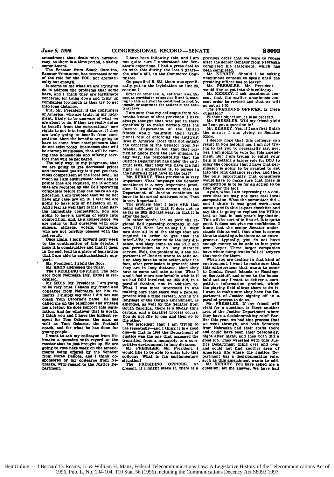amendment that deals with bureauc- racy, **so** there **Is a** time period. **a 90-day** commitment.

The Senator from South Carolina, Senator **THURMONeD. has** decreased some **Of** the role for the **FCC,** not dramati**cally** but enough.

seems to me what we are trying to do is address the problems that some have, and **I** think they are legitimate concerns, for tying down and tying up companies too muchas they try to get into long distance. But. Mr. President. **if** the consumers

of America. who are truly, In my judgment. likely to **be** unaware of what we to benefit from the corporations' new rights to get into long distance, if they are truly going to benefit from com- petition. then the benefits are going to have to come from entrepreneurs that do not exist today, businesses that will be startup businesses, that will be com-Ing into households and offering serv-

ices that will be packaged. The only way, in my judgment, that we are going to get decreased prices and increased quality **is If** you get ferocious competition at the local level. **As** much as **I** am enthusiastic about the 14 points that are required, the 14 actions that **are** required **by** the Bell operating plication, I am troubled that we do not<br>have any case law on it. I fear we are<br>going to have lots of litigation on it.<br>And I fear as well that rather than hav**tog** Immediate competition, you are **going** to have a slowing of entry into competition, and, as **a** consequence, we **are** going to **find** ourselves with con- sumers, citizens, voters, taxpayers, who **are** not terribly pleased with the net result.<br>Once again I look forward next week

to the continuation of this debate. I hope it is constructive and that it does,<br>in the end, lead to a piece of legislation in the end, lead to **a** piece of legislation that I am **able** to enthusiastically sup-

port.<br>Mr. President, I yield the floor.

Mr. President, **I yield** the floor. Mr. **EXON** addressed the Chair. ator from Nebraska [Mr. EXON] is recognized

Mr. **EXON.** Mr. President. **I** am going to be very brief. **I thank** my friend and colleague from Nebraska for his re- marks. I simply **say** that I **did** not use coach Tom Osborne's name. He *has* called me on the telephone and written me a letter. **He** does support this legislation. And for whatever that **Is** worth. **I** think you and **I** have the highest respect for Tom Osborne, the man, as<br>well as Tom Osborne, the football<br>coach, and for what he has done for

county the has **has a done for young people.**<br>I want to ask my colleague from Nebraska a question with regard to the matter that he just brought up. We are going to vote next week on the amendgoing to vote next week on the amend- mants being offered **by** the Senator from North Dakota. and I think co- sponsored **by** my colleague from **Ne-** braska with regard to the Justice Department.

I have been following this, and I am previous order that we were to recess<br>not quite sure I understand the Sen-after the senior Senator from Nebraska<br>ator's objections. I had a great deal to completed his statement, which do with this during the last 2 years- been completed. the whole **bill.** in the Commerce Com- Mr. KERREY. Should **I** be asking

mittee. unanimous consent to speak until the Washing officer has to leave?<br>
On page 8 of S. 652, there was specifl- presiding officer has to leave?<br>
cally put in the legislation on line *20,* would like to get into this co

Effect on other law. A, antitrust laws. Ex-<br>
Effect on other law. A, antitrust laws. Ex-<br>
orget as provided in subsection B and C, noth-<br>
sent that the earlier unanimous concing in this act shall be construed to modify. s

I am sure that my colleague from Nebraska knows of that provision. I have always thought that was put in there specifically to make certain that the solicanget aquestion in?<br>Justice Department of the United Mr. KERREY. Yes, if Ican first finish<br>States would maintain their tradi- the answer I was giving to Senator tional role of enforcing the antitrust **EXON.** I deeply hope that this colloquy can laws in America. Does that not satisfy I deeply hope that this colloquy can the concerns of the Senator from Ne- result in you helping me. braska, or does he feel that that par- ing to get you to necessarily say, gee, ticular quote from the law impairs, in yes, I am going to vote for this amendticular quote from the law imat pair. The set I am going to vote for this amend-<br>ticular quote from the law impairs, in yes, I am going to vote for this amend-<br>any way, the responsibility that the ment. But I am trying to any way, the responsibility that the Justice Department has under the antitrust laws, that they will have the full allay the concerns that I have that per-<br>right, as I understand it, to pursue in mission is going to be granted to get<br>the future as that have in the peet? **Into the long distance s** 

sion. It would make certain that the **Department of Justice continues** to have its historical antitrust role. That is very important. The competition of the competition. The complement is have with that

gional Bell operating company in our good. It does not give me confidence. I area, U.S. West. Let us say U.S. West know that the senior Senator under-note now does all 14 of the things that are stands this as well, that wh service. In the problem is the problem is the problem inter-<br>inter-LATA, in order to do the long distance, and they come to the FCC and<br>get permission to do long distance<br>service. Well, the problem is, if the Department of Justice wants to take ac-<br>tion, they have to take action after the partment of Justice wants to take ac-<br>that work for them.<br>tion, they have to take action after the When you are dealing in that kind of<br>fact, after permission is granted; after environment, I want to make sure that<br>they ar here are in long distance, then they this entrepreneur that wants to come have to come and take action. What I to Omaha, Grand Islands, or Hastings, would feel more comfortable with is if or Scottabluff, and come to the ho we had DOJ involved, as 1822 did, in a bold and agy I want to deliver a com-<br>parallel fashion, not in addition to. petitive information product, which<br>What I was most interested in was the playing field allows them to do i Ianguage of the Dorgan amendment, as parallel process to do so.<br>amended, as well by the Senator from Mr. PRESSLER. If my friend will amended, as well by the Senator from Mr. PRESSLER. If my friend will South Carolina, there is a 80-day time yield for a question, is there another content of certain, and a parallel process occurs. area of the Justice Depa

situation? The PRIME of the Michael Such as this amendment wants to add.<br>The PRESIDING OFFICER. At Mr. KERREY. You have asked me a strain present, if I might state it, there is a question; let me answer. We have had

without objection. It is so ordered.<br>Mr. PRESSLER. Will my friend yield<br>so I can get a question in?<br>Mr. KERREY. Yes, if I can first finish

the concerns of the Senator from Ne- result in you helping me. I am not try-<br>par- ing to get you to necessarily say, gee, help in getting a larger role for **DOJ** to allay the concerns that I have that perright, as I understand it, to pursue in mission is going to be granted to get<br>the future as they have in the past?<br>Mr. KERREY. That provision is very the only opportunity that consumers<br>Mr. KERREY. That provision is very t important. That language the Senator would have to make sure that there is<br>mentioned is a very important provi- competition is to be for an action to be<br>sion. It would make certain that the filed after the fact.

heaven that I am expressing is a concern that we may not have real local<br>competition. What the committee did---In the problem that I have with that and I think it was good work-was<br>The problem that I have with that and I think it was good work-was<br>being sufficient is that it does not go come up with this 14-part checklist and being sufficient is that it does not go come up with this 14-part checklist and as far as 1822 did last year, in that it is say this is going to replace the VIII(c). In other the fact. The head in last year's legislation. Stance to starting a business as an entre-<br>time to starting a business as an entre-<br>preneur, typically, you do not have<br>enough money to be able to hire your<br>own lawyer. These larger companies<br>have whole dump trucks full of

certain, and a parallel process occurs. area of the Justice Department where<br>You do not file to one and then go to they have a decisionmaking role? Ear-<br>the other. The precedent that I am trying to we went through, and both Senators<br>use repeatedly—and I think it is a good from Nebraska had their staffs there<br>one—is that in 1984 the Department of and could have been their personally,<br> business also use and image are the model of the particle with this June than the particle environment in long distance. the Department thing over and over the MESSLER. Mr. President, I and could not find another area of w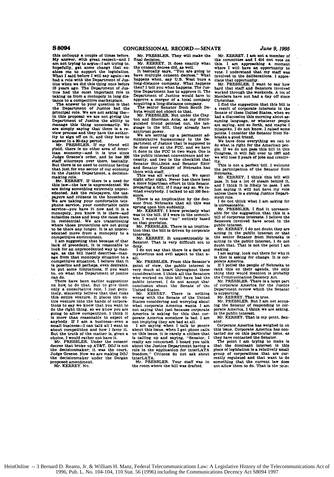this colloquy a couple of times before. **My** answer, with **great** respect--and **<sup>I</sup> an** not trying to **argue--I am** trying to. hopefully, get some change that en- ables me to support the legislation. What **I said** before **I** will say again-we had a role with the Department of Justice when we **did** this thing once before **<sup>10</sup>**years ago. The Department **of** Jus- tice had the most important role in taking us from a monopoly in long distance to a competitive marketplace.

tance to a competitive marketplace. The answer to your question is that the Department of Justice had the principal role. We are not asking the increment of duation and the proposal we are not giving the Department of Just manage this thing unnecessarily. We are simply saying that there is a re-<br>view process and they have the author-<br>ity to sign off on it, and they have to<br>ity to sign off on it, and they have to answer in a 90-day period. Mr. PRESSLER. **If** my friend will

yield, there is no other area of Amer-<br>ican economy-and it is true since<br>Judge Greene's order, and he has 200<br>staff attorneys over there, basically.<br>But there is no need to continue having But there is no need to continue having<br>that just for one sector of our economy<br>in the Justice Department, a decision-<br>making role.

making role. Mr. KERREY. If there is **a** need for this law-the law **is** unprecedented. We are doing something extremely unprecedented. Ask the ratepayers, the tax-<br>payers and citizens in the households. payers and citizens in the households tele-<br>We are taking your comfortable telephone service, your comfortable cable service-you have it now **and** it **is a** monopoly, you know it is there-and subsidie rates and keep the rates down **in** residential. We are transitioning where those protections are not going to be there any longer. It **is** an Unprec-

edented move from a monopoly to a competitive environment.<br> **I** am suggesting that because of that lack of precedent, it is reasonable to look for an unprecedented way to manage, as the bill itself describes-man-<br>age from that monopoly situation to a age from that monopoly situation to a competitive situation. **I** believe that it **is** possible and perhap. even desirable, is possible and perhaps, even desirable, to put some limitations, if you want to, on what the Department of justice

**to.** on what the Department of justice There have been earlier suggestions on how to do that. But to give them only a consultative role. I just genu-<br>inely. sincerely believe that that risks this entire venture. It places this entire venture into the hands of corporatire venture into the hands of corpora- tions to say we know that you want to do the right thing, so we know you are going to allow competition. **I** think it **is** more than reasonable to expect of is more than reasonable to expect of anybody. If I am a business--even a small business--I can talk all I want to about competition and how I favor it.

But the truth of the matter is, given a<br>bit the truth of the matter is, given a<br>Mr. PRESSLER. Under the consent<br>decree that broke up AT&T, DOJ is not<br>budge Greene. Now we are making DOJ<br>Judge Greene. Now we are making DOJ<br> proposed amendment. Mr. KERREY. **No.**

Mr. PRESSLER. They will make the<br>final decision.

Mr. KERREY. It does exactly what the consent decree did, as well.<br>It basically says, "You are going to have multiple consent decrees." What

I have muriciple conservations when and the Just happens when any U.S. West buys a long-distance company. The Just the Department has to approve it. The Department of Justice would have to approve a merger of a local company acquiring a long-distance **company.** The senior Senator from South Da-

kota would not object to that. Mr. PRESSLER. But under the **Clay-**ton and Sherman Acts, as my dfstin guished friend pointed out, the lan- guage in the **bill,** they already have

antitrust power. We are setting up a permanent ad-<br>ministrative bureaucracy in the De-<br>partment of Justice that is supposed to be done over at the **FCC**, and we have it done in the **FCC** in two ways. One is it done in the FCC in two ways. One is<br>the public interest convenience and necessity; and two is the checklist that<br>Senator HoLLINGS and Senator ExoN<br>and Senator KERREY of Nebraska had there with staff. **.** This was all worked out. We spent

night after night. Never has there been **<sup>a</sup>**more bipartisan effort in this Senate preparing **a bill. If I** may say so. We in- vited everybody. **I** talked to **all 100** Sen-

atore. There Is an implication **by** the Sen- ator from Nebraska that **all** this was

sprung upon him suddenly. Mr. KERREY. **I** knew precisely what was in the **bill. If I** were in the committee. I would vote "no" entirely based<br>on that provision.<br>Mr. PRESSLER. There is an implica-

on that provision.<br>
Mr. PRESSLER. There is an implica-<br>
tion that the bill is driven by corporate<br>
interests.

Mr. KERREY. It unquestionably is.<br>Senator. That is very difficult not to

deny.<br>I do not say that there is a dark and mysterious and evil aspect to that ai;<br>all. Mr. PRESSLER. From this Senator's

min. Product of view, the public Interest is<br>very much at heart throughout these<br>considerations. I think all the Senators considerations. I think **all** the Senators who worked on this **bill** have had the public Interest. **I do** not accept that conclusion about the Senate **of** the

United States. Mr. KERREY. There is nothing wrong with the Senate of the United States considering and worrying about what corporate America wants. **I am** not saying that just because corporate<br>America is asking for this that cor-America is asking for this that cor- porate America somehow is bad. I am not implying they are **bad** at all. **<sup>I</sup>**am saying when **I** talk to peole

about this issue, when **I** get phone calls on this issue. **It** is rarely a citizen that is calling up and saying, "Senator. It is calling up and saying, "Senator. I really am concerned. I heard you talk<br>about the Justice Department having a role in the application for interLATA freedom." Citizens do not ask about

InterLATA. Mr. PRESSLER. Your staff was in the room where the bill was drafted.

Mr. KERREY. I am not a member of the committee and I did not vote on this. **I** am approaching a moment where **I** will have an opportunity to where **I** will have an opportunity to vote. I understand that my staff was involved in the deliberations. I appre-

ciate that opportunity. Mr. PRESSLER. **I** want to say **how** hard that staff and Senators involved worked through the weekends. **A** lot of Members have not **had** a day off since Christmas.

**III III is a result of corporate interests in the Senate of these United States, when we** Senate of these United States, when we had a discussion this morning about as-<br>
suming language, or whatever people<br>
are saying, and so forth, and maybe **I** points. I consider the Senator from Ne-<br>Iraska a good friend.<br>We have done everything we can to<br>do what is right for the American peo-

ple. If we do not pass this bill in this Congress, it will fall over to 1997 and we will lose 2 years of jobs and creativ-

ity. This is not **a** perfect bill. **I** welcome the participation of the Senator from Nebraska.

**Mr.** KERREY. **I think"** this bill will pass. It has a lot **of** steam behind **it,** and I think it **is** likely to *pass.* I am just saying it will not have my vote unless there **is** a strong Justice Depart- ment role. **I do** not think what I **am** asking for

is unreasonable.<br>Mr. PRESSLER. I find it unreason-

Mr. PRESSLER. I find it unreason-<br>able for the suggestion that this is a bill of corporate interests. **I** believe the Senators involved have acted in the public Interest. Mr. KERREY. **I** do not doubt they are acting in the **public** interest or that

the senior Senator **from** Nebraska **is** acting in the public interest. **I** do not doubt that. That is not the point **I** am making.<br>I am saying, look out there for who it

**I an** saying, look out there for who it **is** that is asking for change. It is **cor-** porate America.

**If I** polled the people of Nebraska to rank this on their agenda, the only thing they would mention is probably the Communication Decency Act.<br>Mr. PRESSLER. There is a large part<br>of corporate America for the Justice

Department review which the Senator is supporting.

Mr. KERREY. That **is** true. Mr. PRESSLER. But **I** am not accusing the Senator of responding to cor- porate America. **I** think we are asking,

in the public Interest. Mr. KERREY. That **is** my point, Senator.<br>Corporate America has weighed in on

this issue. Corporate America has contacted me on this particular issue, as

The point I am trying to make is that the dominant interest in this piece of legislation is **a** relatively small group of corporations that *are* cur- rently regulated and that want to do something that the current law does not allow them to do. That is the point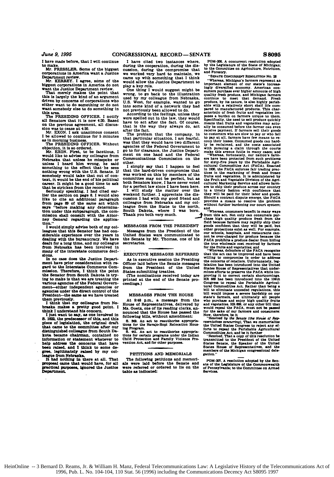corporations in America want a Justice<br>Department review.<br>Mr. KERREY. I agree, some of the<br>biggest corporations in America do not<br>want the Justice Department review.<br>That merely makes the point that<br>this is largely the kin either want to do Something or do not want somebody else to do something in

this area.<br>The **PRESIDING** OFFICER. I notify all Senators that it is now 4:30. Based<br>on the previous agreement, all discus-<br>sion was to cease at 4:30

**sion** was to cease at 4:30. Mr. **EXON.** I ask unanimous consent I be allowed to continue for **5** minutes as In morning business. The PRESIDING OFFICER. Without

objection, it **Is** so ordered. Mr. **EXON.** First, to be facetious. **<sup>I</sup>** would like to advise my colleague from Nebraska that unless he mispoke or Webraska that unless he misspoke or unless I heard him wrong, he said something to the effect that-he sees nothing wrong with the U.S. Senate. If somebody would take that out of consomebody would take that out of con- text. it would be the end of **his** political career. It might be a good time to ask

that be stricken from the record. Seriously speaking. I **had** cited ear- lier the section on pege **8. I** would also like to cite an additional paragraph from **page 89** of the same act which **says** "before making any determina- tion under this subparagraph, the commission shall consult with the com-<br>mission shall consult with the Attor-<br>ney General regarding the application."

**<sup>I</sup>**would simply advise both of my col- leagues that **this** Senator has **had** con- siderable experience over the years in dealt for a long time, and my colleague from Nebraska has been involved in many of the interstate commerce deci-<br>sions.

In no case does the Justice Depart-<br>ment have prior consideration with regard to the Interstate Commerce Com-<br>mission. Therefore. I think the point the Senator from South Dakota is try-<br>ing to make is that we are treating the ing to make is that we **are** treating the various agencies of the Federal Govern- ment--either independent agencies or agencies under the direct control of the l'realdent--the same **as** we have treated

them previously. **<sup>I</sup>**think that my colleague from **Ne**braska makes a pretty good point. I think I understand his concern.<br>I just want to asy, as one Involved in<br>B. 1822, the predecessor of this, and this

piece of legislation, the original draft<br>that came to the committee after our that came to the committee after our distinguished colleague from South **Da-** kota became chairman, contained no Information or statement whatever to help address the concerns that have been raised, and **I** think to some **de**gree. legitimately **raised by** my col- league from Nebraska, It **had** nothing in there at **all.** That

proposal came that would have, for **all** Practical **purpose** Ignored the Justice Department.

I have cited two instances where, during the cooperation, during the discussion. during the compromise that we worked very hard to maintain, we came up with something that **I** think would allow the Justice Department to

play a key role. One thing **I** would suggest might be wrong, to go back to the illustration used **by** my colleague from Nebraska. U.S. West, for example, wanted to go into some kind of a network they had not previously been allowed to do. According to the feelings, unless they were spelled out in the law, they would have to act after the fact. Of cou

that is the way they always do. act after the fact.<br>The problem that the company, in

The problem that the company. in that particular situation. **I** am fearful, was that they would have two different agencies of the Federal Government to go to for clearance, the Justice Depart- ment on one hand and the Federal Communications Commission **on** the

other.<br>I simply say that I happen to feel **<sup>I</sup>**simply **say** that **I** happen to feel that the hard-driven compromise that was worked on this **by** members of the committee may not be perfect, but as both Senators know. **I** have never voted

for a perfect law since **I** have been here. I will study the matter over the weekend further. I appreciate the discussion **I** had with my good friend and colleague from Nebraska and my colleague from the State to the north. South Dakota. where **I** was born. Thank you both very much.

## **MESSAGES** FROM THE PRESIDENT Messages from the President **of** the United States were communicated to the Senate **by Mr.** Thomas. one **of** his secretaries.

#### **EXECUTIVE MESSAGES** REFERRED

As in executive session the Presiding Officer laid before the Senate messages Officer **laid** before the Senate messages from the President of the United

States submitting treaties. (The nominations received today are printed at the end of the Senate proceedings.)

#### **MESSAGES** FROM THE **HOUSE**

At 9:48 p.m., a message from the House of Representatives, delivered by House of Representatives, delivered **by** Ms. Goets, one of its reading clerks, an- nounced that the House has passed the following bills, without amendment:

**5. 34.** An act to reauthoris appropria- **tions** for the Navajo-Holi Relocation Hous- **lng** Program.

**S. 441.** An act to reauthorize appropria-<br> **S.** 441. An act to reauthorize appropria-<br>
tions for ertain programs under the Indian<br>
Child Protection and Family Violence Pre-<br>
vention Act, and for other purposes.

#### PETITIONS **AND** MEMORIALS

**The** following petitions and memori**als** were laid before the Senate and were referred or ordered to **lie** on the table as indicated:

POM-206. **A** concurrent resolution adopted **by** the Legislators **of** the State **of Michigan;** to the **Committee** on Agriculture, Nutrition. **and** Forestry.

**"SNATE CONCURRNr RSOLTION No. 28**

"Whereas, Michigan's farmers represent and<br>important element of our state's increas-<br>ingly diversified economy. American con-<br>sumers purchase ever higher amounts of high<br>quality fresh produce, and Michigan farmers continue to meet that demand. Presh and the produce, by its nature, is also highly perished<br>produce, by its nature, is also highly perished with a relatively short shelf life composes a burden on farmers unique to therm, S

ers have been protected from such problems<br>for stry-five years by the Perishable Agri-<br>coltural Commodities Act (PACA). Enacted<br>coltural Commodities Act (PACA). Enacted<br>in 1930, the PACA enforces fair trading prac-<br>fruits in **a** timely fashion with confidence that they will be **paid for** their labor and goods. Should **a** contract dispute emerge, the **PACA** provides a means to resolve the problem without further burdening our court system;

and "Whereas, consumers benefit in many ways<br>
"Whereas, consumers benefit in many ways<br>
chase high quality produce freeh from the<br>
chase higher discussed formulations are more in the paid, but<br>
groods conflictnic that they

willing to compromise in order to address the concerns of retailers. Unfortunately. leg- islation **has** been introduced into the United States House of Representatives that under- mines efforts to preserve the **PACA** while **inn-**proving it to correct certain shortcomings. HR **669** has been Introduced into the **104th** Congress to repeal the Perishable Agriculture<br>tural Commodities Act. Rather than being a bill to eliminate unneded regulations, this<br>bill to eliminate unneded regulations, this<br>state's farmers, and ultimately all people<br>wh would repeal the **PACA.** must not **be passed** for the **sake** of our farmers **and** consumers.

Now, therefore, be it Senate (the House of Representatives concurring), That we memorialize<br>resentatives concurring), That we memorialize<br>the United States Congress to reject any effects for the top follow<br>form to repeal t

POM-207. **A** resolution adopted **by** the Sen. ate **of** the Legislature of the Commonwealth of Pennsylvania; to the Committee on Armed Services.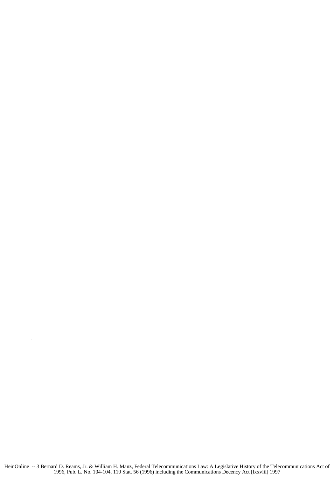HeinOnline -- 3 Bernard D. Reams, Jr. & William H. Manz, Federal Telecommunications Law: A Legislative History of the Telecommunications Act of 1996, Pub. L. No. 104-104, 110 Stat. 56 (1996) including the Communications Decency Act [lxxviii] 1997

 $\bar{\alpha}$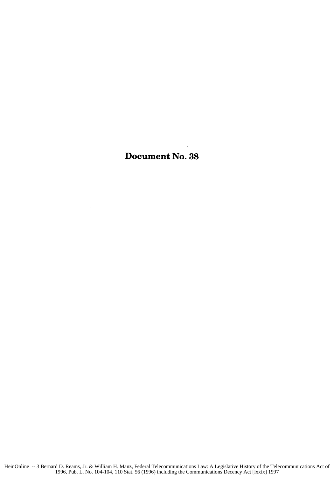# Document No. **38**

÷.

 $\ddot{\phantom{a}}$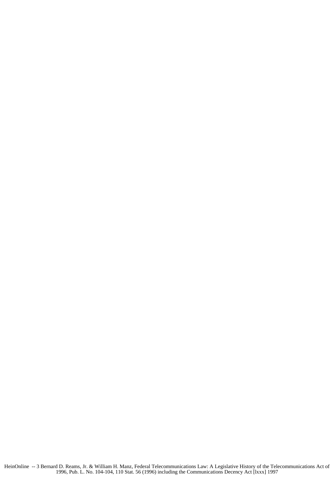HeinOnline -- 3 Bernard D. Reams, Jr. & William H. Manz, Federal Telecommunications Law: A Legislative History of the Telecommunications Act of 1996, Pub. L. No. 104-104, 110 Stat. 56 (1996) including the Communications Decency Act [lxxx] 1997